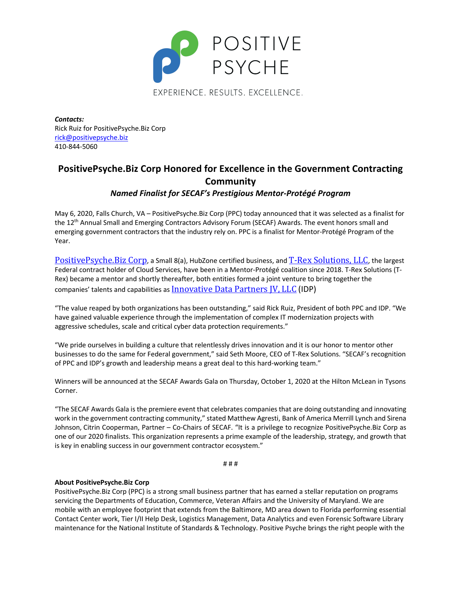

EXPERIENCE. RESULTS. EXCELLENCE.

*Contacts:*  Rick Ruiz for PositivePsyche.Biz Corp rick@positivepsyche.biz 410-844-5060

# **PositivePsyche.Biz Corp Honored for Excellence in the Government Contracting Community**

*Named Finalist for SECAF's Prestigious Mentor-Protégé Program*

May 6, 2020, Falls Church, VA – PositivePsyche.Biz Corp (PPC) today announced that it was selected as a finalist for the 12<sup>th</sup> Annual Small and Emerging Contractors Advisory Forum (SECAF) Awards. The event honors small and emerging government contractors that the industry rely on. PPC is a finalist for Mentor-Protégé Program of the Year.

PositivePsyche.Biz Corp, a Small 8(a), HubZone certified business, and T-Rex Solutions, LLC, the largest Federal contract holder of Cloud Services, have been in a Mentor-Protégé coalition since 2018. T-Rex Solutions (T-Rex) became a mentor and shortly thereafter, both entities formed a joint venture to bring together the companies' talents and capabilities as Innovative Data Partners IV, LLC (IDP)

"The value reaped by both organizations has been outstanding," said Rick Ruiz, President of both PPC and IDP. "We have gained valuable experience through the implementation of complex IT modernization projects with aggressive schedules, scale and critical cyber data protection requirements."

"We pride ourselves in building a culture that relentlessly drives innovation and it is our honor to mentor other businesses to do the same for Federal government," said Seth Moore, CEO of T-Rex Solutions. "SECAF's recognition of PPC and IDP's growth and leadership means a great deal to this hard-working team."

Winners will be announced at the SECAF Awards Gala on Thursday, October 1, 2020 at the Hilton McLean in Tysons Corner.

"The SECAF Awards Gala is the premiere event that celebrates companies that are doing outstanding and innovating work in the government contracting community," stated Matthew Agresti, Bank of America Merrill Lynch and Sirena Johnson, Citrin Cooperman, Partner – Co-Chairs of SECAF. "It is a privilege to recognize PositivePsyche.Biz Corp as one of our 2020 finalists. This organization represents a prime example of the leadership, strategy, and growth that is key in enabling success in our government contractor ecosystem."

# # #

### **About PositivePsyche.Biz Corp**

PositivePsyche.Biz Corp (PPC) is a strong small business partner that has earned a stellar reputation on programs servicing the Departments of Education, Commerce, Veteran Affairs and the University of Maryland. We are mobile with an employee footprint that extends from the Baltimore, MD area down to Florida performing essential Contact Center work, Tier I/II Help Desk, Logistics Management, Data Analytics and even Forensic Software Library maintenance for the National Institute of Standards & Technology. Positive Psyche brings the right people with the